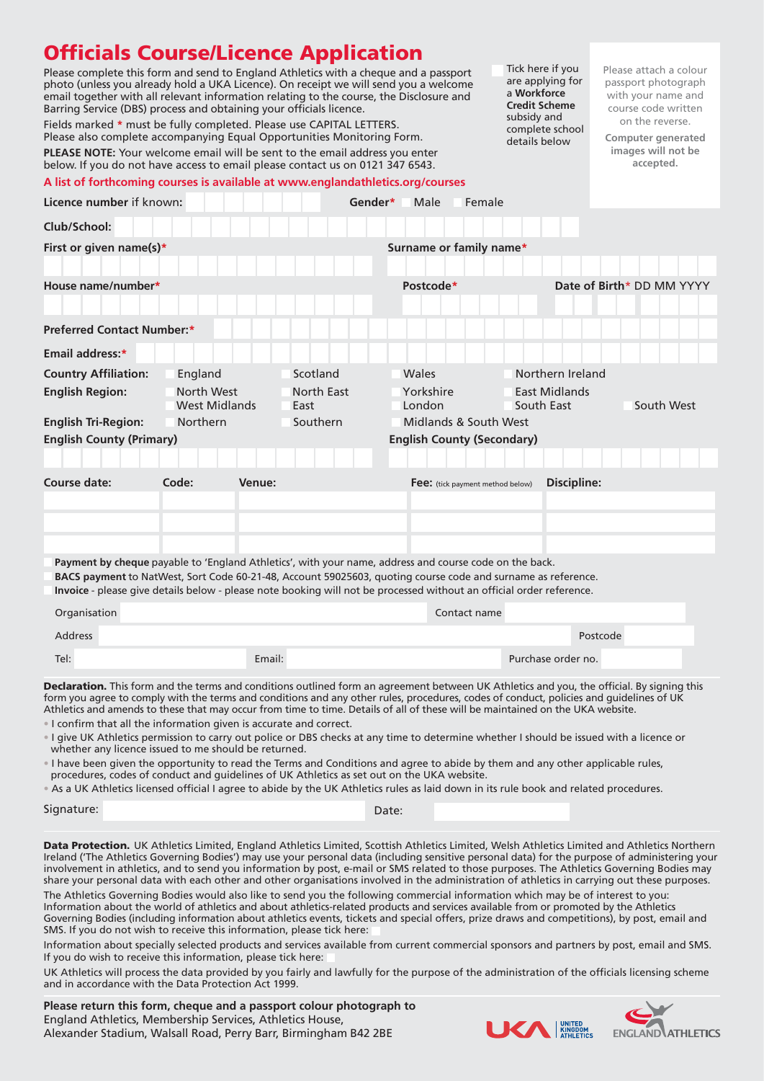# **Officials Course/Licence Application**

Please complete this form and send to England Athletics with a cheque and a passport photo (unless you already hold a UKA Licence). On receipt we will send you a welcome email together with all relevant information relating to the course, the Disclosure and Barring Service (DBS) process and obtaining your officials licence.

Fields marked **\*** must be fully completed. Please use CAPITAL LETTERS. Please also complete accompanying Equal Opportunities Monitoring Form. **PLEASE NOTE:** Your welcome email will be sent to the email address you enter below. If you do not have access to email please contact us on 0121 347 6543.

# **A list of forthcoming courses is available at www.englandathletics.org/courses**

Tick here if you are applying for a **Workforce Credit Scheme** subsidy and complete school details below

Please attach a colour passport photograph with your name and course code written on the reverse.

**Computer generated images will not be accepted.**

| Licence number if known:                                             |                                    |                                                                                                                                            | Gender*<br>Male<br>Female                                                                                                                                                                                                                                                 |                             |                           |  |
|----------------------------------------------------------------------|------------------------------------|--------------------------------------------------------------------------------------------------------------------------------------------|---------------------------------------------------------------------------------------------------------------------------------------------------------------------------------------------------------------------------------------------------------------------------|-----------------------------|---------------------------|--|
| Club/School:                                                         |                                    |                                                                                                                                            |                                                                                                                                                                                                                                                                           |                             |                           |  |
| First or given name(s)*                                              |                                    |                                                                                                                                            | Surname or family name*                                                                                                                                                                                                                                                   |                             |                           |  |
|                                                                      |                                    |                                                                                                                                            |                                                                                                                                                                                                                                                                           |                             |                           |  |
| House name/number*                                                   |                                    |                                                                                                                                            | Postcode*                                                                                                                                                                                                                                                                 |                             | Date of Birth* DD MM YYYY |  |
|                                                                      |                                    |                                                                                                                                            |                                                                                                                                                                                                                                                                           |                             |                           |  |
| <b>Preferred Contact Number:*</b>                                    |                                    |                                                                                                                                            |                                                                                                                                                                                                                                                                           |                             |                           |  |
| Email address:*                                                      |                                    |                                                                                                                                            |                                                                                                                                                                                                                                                                           |                             |                           |  |
| <b>Country Affiliation:</b>                                          | England                            | Scotland                                                                                                                                   | Wales                                                                                                                                                                                                                                                                     | Northern Ireland            |                           |  |
| <b>English Region:</b>                                               | North West<br><b>West Midlands</b> | North East<br>East                                                                                                                         | Yorkshire<br>London                                                                                                                                                                                                                                                       | East Midlands<br>South East | South West                |  |
| <b>English Tri-Region:</b>                                           | Northern                           | Southern                                                                                                                                   | Midlands & South West                                                                                                                                                                                                                                                     |                             |                           |  |
| <b>English County (Primary)</b><br><b>English County (Secondary)</b> |                                    |                                                                                                                                            |                                                                                                                                                                                                                                                                           |                             |                           |  |
|                                                                      |                                    |                                                                                                                                            |                                                                                                                                                                                                                                                                           |                             |                           |  |
| Course date:<br>Code:<br>Venue:                                      |                                    |                                                                                                                                            | <b>Discipline:</b><br>Fee: (tick payment method below)                                                                                                                                                                                                                    |                             |                           |  |
|                                                                      |                                    |                                                                                                                                            |                                                                                                                                                                                                                                                                           |                             |                           |  |
|                                                                      |                                    |                                                                                                                                            |                                                                                                                                                                                                                                                                           |                             |                           |  |
|                                                                      |                                    |                                                                                                                                            |                                                                                                                                                                                                                                                                           |                             |                           |  |
|                                                                      |                                    |                                                                                                                                            | Payment by cheque payable to 'England Athletics', with your name, address and course code on the back.                                                                                                                                                                    |                             |                           |  |
|                                                                      |                                    |                                                                                                                                            | BACS payment to NatWest, Sort Code 60-21-48, Account 59025603, quoting course code and surname as reference.<br>Invoice - please give details below - please note booking will not be processed without an official order reference.                                      |                             |                           |  |
| Organisation                                                         |                                    |                                                                                                                                            | Contact name                                                                                                                                                                                                                                                              |                             |                           |  |
|                                                                      |                                    |                                                                                                                                            |                                                                                                                                                                                                                                                                           |                             |                           |  |
| <b>Address</b>                                                       |                                    |                                                                                                                                            |                                                                                                                                                                                                                                                                           | Postcode                    |                           |  |
| Tel:                                                                 | Email:                             |                                                                                                                                            |                                                                                                                                                                                                                                                                           | Purchase order no.          |                           |  |
|                                                                      |                                    | Declaration. This form and the terms and conditions outlined form an agreement between UK Athletics and you, the official. By signing this |                                                                                                                                                                                                                                                                           |                             |                           |  |
|                                                                      |                                    |                                                                                                                                            |                                                                                                                                                                                                                                                                           |                             |                           |  |
|                                                                      |                                    |                                                                                                                                            | form you agree to comply with the terms and conditions and any other rules, procedures, codes of conduct, policies and guidelines of UK<br>Athletics and amends to these that may occur from time to time. Details of all of these will be maintained on the UKA website. |                             |                           |  |

• I give UK Athletics permission to carry out police or DBS checks at any time to determine whether I should be issued with a licence or whether any licence issued to me should be returned.

• I have been given the opportunity to read the Terms and Conditions and agree to abide by them and any other applicable rules, procedures, codes of conduct and guidelines of UK Athletics as set out on the UKA website.

• As a UK Athletics licensed official I agree to abide by the UK Athletics rules as laid down in its rule book and related procedures.

Signature: Date: Date: Date: Date: Date: Date: Date: Date: Date: Date: Date: Date: Date: Date: Date: Date: Date: Date: Date: Date: Date: Date: Date: Date: Date: Date: Date: Date: Date: Date: Date: Date: Date: Date: Date: D

Data Protection. UK Athletics Limited, England Athletics Limited, Scottish Athletics Limited, Welsh Athletics Limited and Athletics Northern Ireland ('The Athletics Governing Bodies') may use your personal data (including sensitive personal data) for the purpose of administering your involvement in athletics, and to send you information by post, e-mail or SMS related to those purposes. The Athletics Governing Bodies may share your personal data with each other and other organisations involved in the administration of athletics in carrying out these purposes.

The Athletics Governing Bodies would also like to send you the following commercial information which may be of interest to you: Information about the world of athletics and about athletics-related products and services available from or promoted by the Athletics Governing Bodies (including information about athletics events, tickets and special offers, prize draws and competitions), by post, email and SMS. If you do not wish to receive this information, please tick here:

Information about specially selected products and services available from current commercial sponsors and partners by post, email and SMS. If you do wish to receive this information, please tick here:

UK Athletics will process the data provided by you fairly and lawfully for the purpose of the administration of the officials licensing scheme and in accordance with the Data Protection Act 1999.

**Please return this form, cheque and a passport colour photograph to**  England Athletics, Membership Services, Athletics House, Alexander Stadium, Walsall Road, Perry Barr, Birmingham B42 2BE



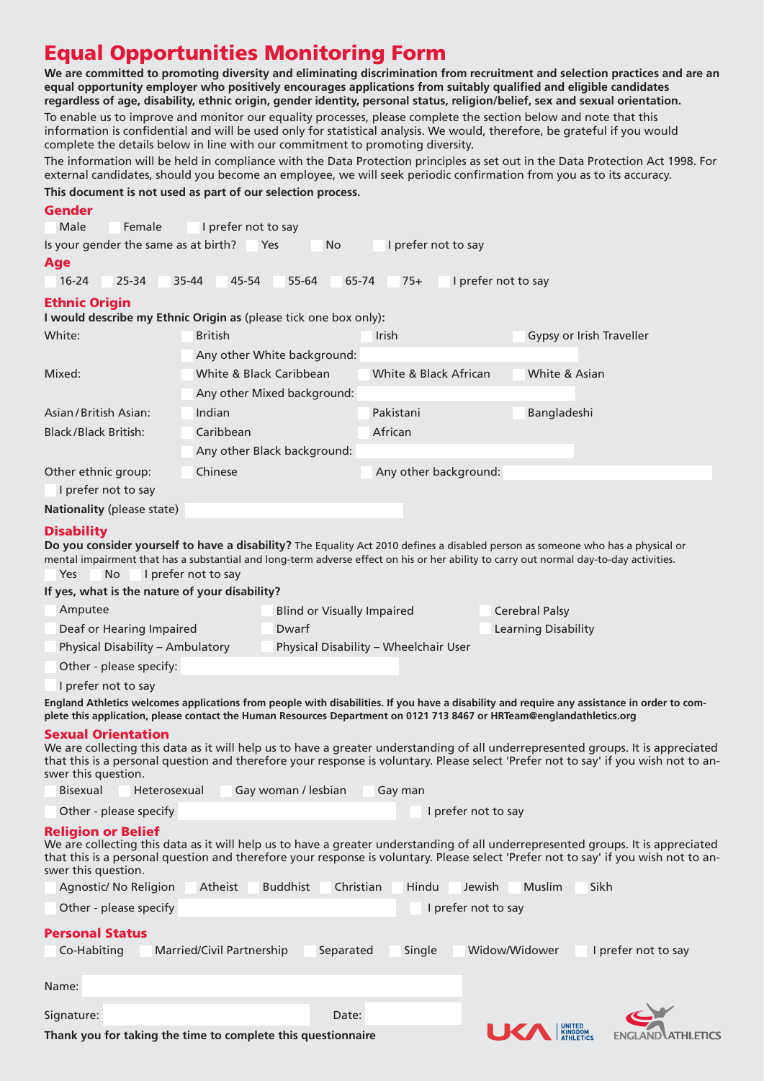# **Equal Opportunities Monitoring Form**

**We are committed to promoting diversity and eliminating discrimination from recruitment and selection practices and are an equal opportunity employer who positively encourages applications from suitably qualified and eligible candidates regardless of age, disability, ethnic origin, gender identity, personal status, religion/belief, sex and sexual orientation.** 

To enable us to improve and monitor our equality processes, please complete the section below and note that this information is confidential and will be used only for statistical analysis. We would, therefore, be grateful if you would complete the details below in line with our commitment to promoting diversity.

The information will be held in compliance with the Data Protection principles as set out in the Data Protection Act 1998. For external candidates, should you become an employee, we will seek periodic confirmation from you as to its accuracy. **This document is not used as part of our selection process.**

| Gender<br>Male                                                                                                                                                                                                                                                                                                              |                                                                                    |                                       |                       |                                        |                          |  |
|-----------------------------------------------------------------------------------------------------------------------------------------------------------------------------------------------------------------------------------------------------------------------------------------------------------------------------|------------------------------------------------------------------------------------|---------------------------------------|-----------------------|----------------------------------------|--------------------------|--|
| Female                                                                                                                                                                                                                                                                                                                      | I prefer not to say                                                                |                                       |                       |                                        |                          |  |
| Is your gender the same as at birth?                                                                                                                                                                                                                                                                                        |                                                                                    | Yes<br>No                             | I prefer not to say   |                                        |                          |  |
| Age<br>$16 - 24$<br>25-34                                                                                                                                                                                                                                                                                                   | 35-44<br>45-54                                                                     | 55-64<br>65-74                        | $75+$                 | I prefer not to say                    |                          |  |
|                                                                                                                                                                                                                                                                                                                             |                                                                                    |                                       |                       |                                        |                          |  |
| <b>Ethnic Origin</b>                                                                                                                                                                                                                                                                                                        |                                                                                    |                                       |                       |                                        |                          |  |
| White:                                                                                                                                                                                                                                                                                                                      | I would describe my Ethnic Origin as (please tick one box only):<br><b>British</b> |                                       | <b>Irish</b>          |                                        | Gypsy or Irish Traveller |  |
|                                                                                                                                                                                                                                                                                                                             |                                                                                    |                                       |                       |                                        |                          |  |
| Mixed:                                                                                                                                                                                                                                                                                                                      | Any other White background:                                                        |                                       |                       |                                        |                          |  |
|                                                                                                                                                                                                                                                                                                                             | White & Black Caribbean                                                            |                                       | White & Black African | White & Asian                          |                          |  |
|                                                                                                                                                                                                                                                                                                                             |                                                                                    | Any other Mixed background:           |                       |                                        |                          |  |
| Asian/British Asian:                                                                                                                                                                                                                                                                                                        | Indian                                                                             |                                       | Pakistani             | Bangladeshi                            |                          |  |
| <b>Black/Black British:</b>                                                                                                                                                                                                                                                                                                 | Caribbean                                                                          |                                       | African               |                                        |                          |  |
|                                                                                                                                                                                                                                                                                                                             |                                                                                    | Any other Black background:           |                       |                                        |                          |  |
| Other ethnic group:                                                                                                                                                                                                                                                                                                         | Chinese                                                                            |                                       | Any other background: |                                        |                          |  |
| I prefer not to say                                                                                                                                                                                                                                                                                                         |                                                                                    |                                       |                       |                                        |                          |  |
| Nationality (please state)                                                                                                                                                                                                                                                                                                  |                                                                                    |                                       |                       |                                        |                          |  |
| <b>Disability</b>                                                                                                                                                                                                                                                                                                           |                                                                                    |                                       |                       |                                        |                          |  |
| Do you consider yourself to have a disability? The Equality Act 2010 defines a disabled person as someone who has a physical or                                                                                                                                                                                             |                                                                                    |                                       |                       |                                        |                          |  |
| mental impairment that has a substantial and long-term adverse effect on his or her ability to carry out normal day-to-day activities.<br><b>No</b><br>Yes                                                                                                                                                                  | I prefer not to say                                                                |                                       |                       |                                        |                          |  |
| If yes, what is the nature of your disability?                                                                                                                                                                                                                                                                              |                                                                                    |                                       |                       |                                        |                          |  |
| Amputee                                                                                                                                                                                                                                                                                                                     |                                                                                    | <b>Blind or Visually Impaired</b>     |                       | <b>Cerebral Palsy</b>                  |                          |  |
| Deaf or Hearing Impaired                                                                                                                                                                                                                                                                                                    |                                                                                    | Dwarf<br>Learning Disability          |                       |                                        |                          |  |
| Physical Disability - Ambulatory                                                                                                                                                                                                                                                                                            |                                                                                    | Physical Disability - Wheelchair User |                       |                                        |                          |  |
| Other - please specify:                                                                                                                                                                                                                                                                                                     |                                                                                    |                                       |                       |                                        |                          |  |
| I prefer not to say                                                                                                                                                                                                                                                                                                         |                                                                                    |                                       |                       |                                        |                          |  |
| England Athletics welcomes applications from people with disabilities. If you have a disability and require any assistance in order to com-                                                                                                                                                                                 |                                                                                    |                                       |                       |                                        |                          |  |
| plete this application, please contact the Human Resources Department on 0121 713 8467 or HRTeam@englandathletics.org                                                                                                                                                                                                       |                                                                                    |                                       |                       |                                        |                          |  |
| <b>Sexual Orientation</b><br>We are collecting this data as it will help us to have a greater understanding of all underrepresented groups. It is appreciated<br>that this is a personal question and therefore your response is voluntary. Please select 'Prefer not to say' if you wish not to an-<br>swer this question. |                                                                                    |                                       |                       |                                        |                          |  |
| <b>Bisexual</b><br>Heterosexual                                                                                                                                                                                                                                                                                             |                                                                                    | Gay woman / lesbian                   | Gay man               |                                        |                          |  |
| Other - please specify                                                                                                                                                                                                                                                                                                      |                                                                                    |                                       | I prefer not to say   |                                        |                          |  |
| <b>Religion or Belief</b><br>We are collecting this data as it will help us to have a greater understanding of all underrepresented groups. It is appreciated<br>that this is a personal question and therefore your response is voluntary. Please select 'Prefer not to say' if you wish not to an-<br>swer this question. |                                                                                    |                                       |                       |                                        |                          |  |
| Agnostic/ No Religion                                                                                                                                                                                                                                                                                                       | Atheist                                                                            | <b>Buddhist</b><br>Christian          | Hindu                 | Jewish<br><b>Muslim</b><br><b>Sikh</b> |                          |  |
| Other - please specify                                                                                                                                                                                                                                                                                                      |                                                                                    |                                       | I prefer not to say   |                                        |                          |  |
| <b>Personal Status</b>                                                                                                                                                                                                                                                                                                      |                                                                                    |                                       |                       |                                        |                          |  |
| Co-Habiting                                                                                                                                                                                                                                                                                                                 | Married/Civil Partnership                                                          | Separated                             | Single                | Widow/Widower                          | I prefer not to say      |  |
|                                                                                                                                                                                                                                                                                                                             |                                                                                    |                                       |                       |                                        |                          |  |
| Name:                                                                                                                                                                                                                                                                                                                       |                                                                                    |                                       |                       |                                        |                          |  |
| Signature:                                                                                                                                                                                                                                                                                                                  |                                                                                    | Date:                                 |                       |                                        |                          |  |
| Thank you for taking the time to complete this questionnaire                                                                                                                                                                                                                                                                |                                                                                    |                                       |                       | UNITED<br>Kingdom<br>Athletics         | AIHLEICS                 |  |